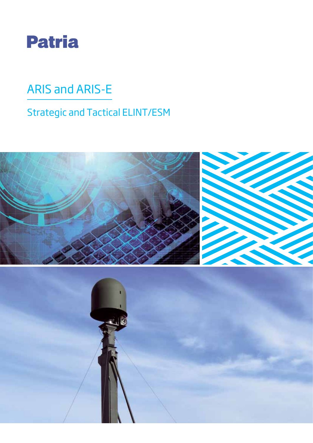

# ARIS and ARIS-E

# Strategic and Tactical ELINT/ESM

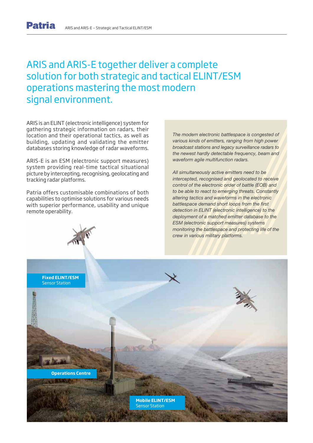## ARIS and ARIS-E together deliver a complete solution for both strategic and tactical ELINT/ESM operations mastering the most modern signal environment.

ARIS is an ELINT (electronic intelligence) system for gathering strategic information on radars, their location and their operational tactics, as well as building, updating and validating the emitter databases storing knowledge of radar waveforms.

ARIS-E is an ESM (electronic support measures) system providing real-time tactical situational picture by intercepting, recognising, geolocating and tracking radar platforms.

Patria offers customisable combinations of both capabilities to optimise solutions for various needs with superior performance, usability and unique remote operability.

The modern electronic battlespace is congested of various kinds of emitters, ranging from high power broadcast stations and legacy surveillance radars to the newest hardly detectable frequency, beam and waveform agile multifunction radars.

All simultaneously active emitters need to be intercepted, recognised and geolocated to receive control of the electronic order of battle (EOB) and to be able to react to emerging threats. Constantly altering tactics and waveforms in the electronic battlespace demand short loops from the first detection in ELINT (electronic intelligence) to the deployment of a matched emitter database to the ESM (electronic support measures) systems monitoring the battlespace and protecting life of the crew in various military platforms.

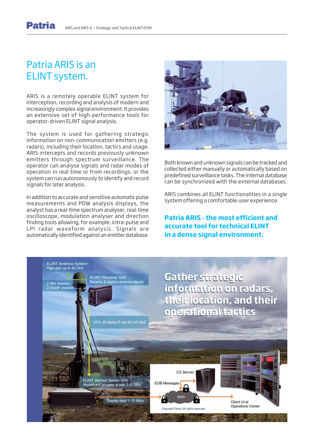## Patria ARIS is an ELINT system.

ARIS is a remotely operable ELINT system for interception, recording and analysis of modern and increasingly complex signal environment. It provides an extensive set of high-performance tools for operator-driven ELINT signal analysis.

The system is used for gathering strategic information on non-communication emitters (e.g. radars), including their location, tactics and usage. ARIS intercepts and records previously unknown emitters through spectrum surveillance. The operator can analyse signals and radar modes of operation in real time or from recordings, or the system can run autonomously to identify and record signals for later analysis.

In addition to accurate and sensitive automatic pulse measurements and PDW analysis displays, the analyst has a real-time spectrum analyser, real-time oscilloscope, modulation analyser and direction finding tools allowing, for example, intra-pulse and LPI radar waveform analysis. Signals are automatically identified against an emitter database.



Both known and unknown signals can be tracked and collected either manually or automatically based on predefined surveillance tasks. The internal database can be synchronized with the external databases.

ARIS combines all ELINT functionalities in a single system offering a comfortable user experience.

**Patria ARIS - the most efficient and accurate tool for technical ELINT in a dense signal environment.**

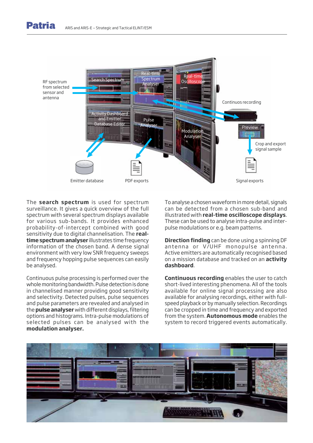



The **search spectrum** is used for spectrum surveillance. It gives a quick overview of the full spectrum with several spectrum displays available for various sub-bands. It provides enhanced probability-of-intercept combined with good sensitivity due to digital channelisation. The **realtime spectrum analyser** illustrates time frequency information of the chosen band. A dense signal environment with very low SNR frequency sweeps and frequency hopping pulse sequences can easily be analysed.

Continuous pulse processing is performed over the whole monitoring bandwidth. Pulse detection is done in channelised manner providing good sensitivity and selectivity. Detected pulses, pulse sequences and pulse parameters are revealed and analysed in the **pulse analyser** with different displays, filtering options and histograms. Intra-pulse modulations of selected pulses can be analysed with the **modulation analyser.**

To analyse a chosen waveform in more detail, signals can be detected from a chosen sub-band and illustrated with **real-time oscilloscope displays**. These can be used to analyse intra-pulse and interpulse modulations or e.g. beam patterns.

**Direction finding** can be done using a spinning DF antenna or V/UHF monopulse antenna. Active emitters are automatically recognised based on a mission database and tracked on an **activity dashboard**.

**Continuous recording** enables the user to catch short-lived interesting phenomena. All of the tools available for online signal processing are also available for analysing recordings, either with fullspeed playback or by manually selection. Recordings can be cropped in time and frequency and exported from the system. **Autonomous mode** enables the system to record triggered events automatically.

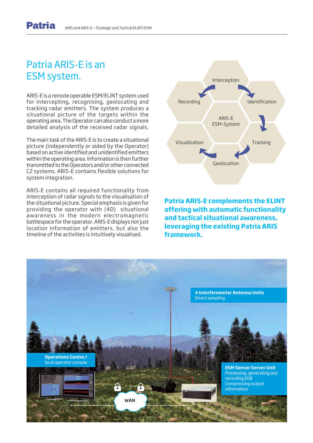## Patria ARIS-E is an ESM system.

ARIS-E is a remote operable ESM/ELINT system used for intercepting, recognising, geolocating and tracking radar emitters. The system produces a situational picture of the targets within the operating area. The Operator can also conduct a more detailed analysis of the received radar signals.

The main task of the ARIS-E is to create a situational picture (independently or aided by the Operator) based on active identified and unidentified emitters within the operating area. Information is then further transmitted to the Operators and/or other connected C2 systems. ARIS-E contains flexible solutions for system integration.

ARIS-E contains all required functionality from interception of radar signals to the visualisation of the situational picture. Special emphasis is given for providing the operator with (4D) situational awareness in the modern electromagnetic battlespace for the operator. ARIS-E displays not just location information of emitters, but also the timeline of the activities is intuitively visualised.



**Patria ARIS-E complements the ELINT offering with automatic functionality and tactical situational awareness, leveraging the existing Patria ARIS framework.**

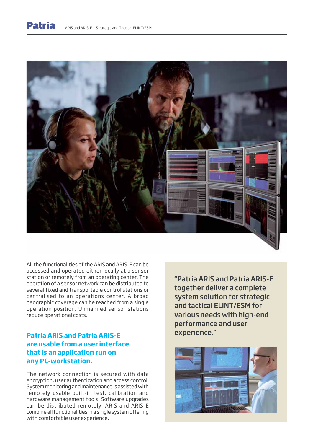



All the functionalities of the ARIS and ARIS-E can be accessed and operated either locally at a sensor station or remotely from an operating center. The operation of a sensor network can be distributed to several fixed and transportable control stations or centralised to an operations center. A broad geographic coverage can be reached from a single operation position. Unmanned sensor stations reduce operational costs.

## **Patria ARIS and Patria ARIS-E are usable from a user interface that is an application run on any PC-workstation.**

The network connection is secured with data encryption, user authentication and access control. System monitoring and maintenance is assisted with remotely usable built-in test, calibration and hardware management tools. Software upgrades can be distributed remotely. ARIS and ARIS-E combine all functionalities in a single system offering with comfortable user experience.

"Patria ARIS and Patria ARIS-E together deliver a complete system solution for strategic and tactical ELINT/ESM for various needs with high-end performance and user experience."

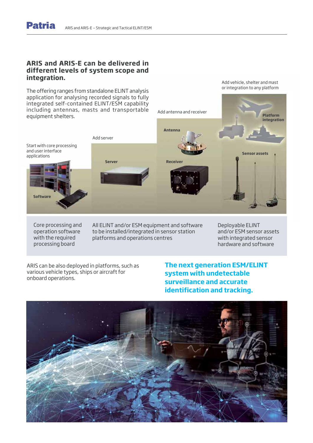### **ARIS and ARIS-E can be delivered in different levels of system scope and integration.**

The offering ranges from standalone ELINT analysis application for analysing recorded signals to fully integrated self-contained ELINT/ESM capability including antennas, masts and transportable equipment shelters.



Core processing and operation software with the required processing board

**Software**

and user interface applications

> All ELINT and/or ESM equipment and software to be installed/integrated in sensor station platforms and operations centres

Deployable ELINT and/or ESM sensor assets with integrated sensor hardware and software

ARIS can be also deployed in platforms, such as various vehicle types, ships or aircraft for onboard operations.

## **The next generation ESM/ELINT system with undetectable surveillance and accurate identification and tracking.**